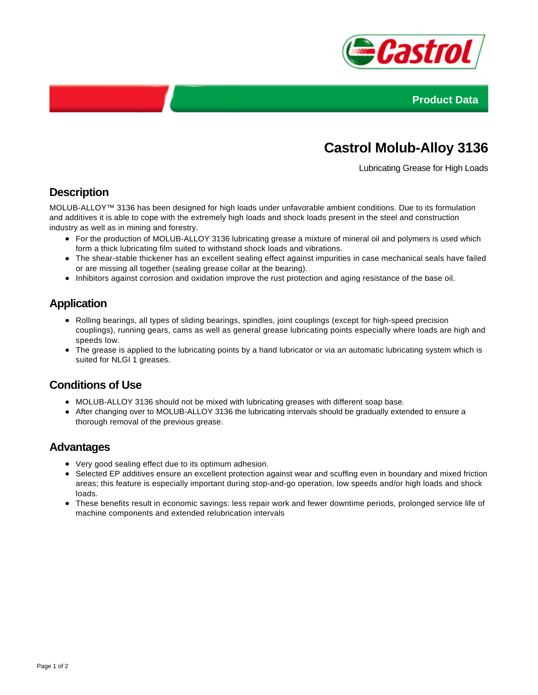



# **Castrol Molub-Alloy 3136**

Lubricating Grease for High Loads

### **Description**

MOLUB-ALLOY™ 3136 has been designed for high loads under unfavorable ambient conditions. Due to its formulation and additives it is able to cope with the extremely high loads and shock loads present in the steel and construction industry as well as in mining and forestry.

- For the production of MOLUB-ALLOY 3136 lubricating grease a mixture of mineral oil and polymers is used which form a thick lubricating film suited to withstand shock loads and vibrations.
- The shear-stable thickener has an excellent sealing effect against impurities in case mechanical seals have failed or are missing all together (sealing grease collar at the bearing).
- Inhibitors against corrosion and oxidation improve the rust protection and aging resistance of the base oil.

## **Application**

- Rolling bearings, all types of sliding bearings, spindles, joint couplings (except for high-speed precision couplings), running gears, cams as well as general grease lubricating points especially where loads are high and speeds low.
- The grease is applied to the lubricating points by a hand lubricator or via an automatic lubricating system which is suited for NLGI 1 greases.

#### **Conditions of Use**

- MOLUB-ALLOY 3136 should not be mixed with lubricating greases with different soap base.
- After changing over to MOLUB-ALLOY 3136 the lubricating intervals should be gradually extended to ensure a thorough removal of the previous grease.

#### **Advantages**

- Very good sealing effect due to its optimum adhesion.
- Selected EP additives ensure an excellent protection against wear and scuffing even in boundary and mixed friction areas; this feature is especially important during stop-and-go operation, low speeds and/or high loads and shock loads.
- These benefits result in economic savings: less repair work and fewer downtime periods, prolonged service life of machine components and extended relubrication intervals